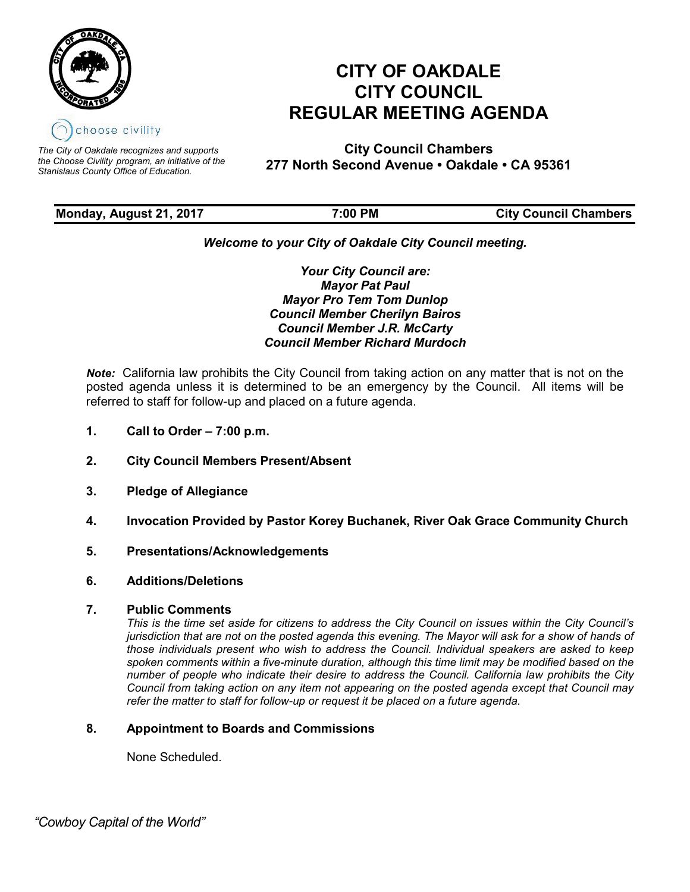

*The City of Oakdale recognizes and supports the Choose Civility program, an initiative of the Stanislaus County Office of Education.*

# **CITY OF OAKDALE CITY COUNCIL REGULAR MEETING AGENDA**

**City Council Chambers 277 North Second Avenue • Oakdale • CA 95361**

| Monday, August 21, 2017 | 7:00 PM | <b>City Council Chambers</b> |
|-------------------------|---------|------------------------------|
|                         |         |                              |

# *Welcome to your City of Oakdale City Council meeting.*

*Your City Council are: Mayor Pat Paul Mayor Pro Tem Tom Dunlop Council Member Cherilyn Bairos Council Member J.R. McCarty Council Member Richard Murdoch*

*Note:* California law prohibits the City Council from taking action on any matter that is not on the posted agenda unless it is determined to be an emergency by the Council. All items will be referred to staff for follow-up and placed on a future agenda.

- **1. Call to Order – 7:00 p.m.**
- **2. City Council Members Present/Absent**
- **3. Pledge of Allegiance**
- **4. Invocation Provided by Pastor Korey Buchanek, River Oak Grace Community Church**
- **5. Presentations/Acknowledgements**
- **6. Additions/Deletions**

# **7. Public Comments**

*This is the time set aside for citizens to address the City Council on issues within the City Council's jurisdiction that are not on the posted agenda this evening. The Mayor will ask for a show of hands of those individuals present who wish to address the Council. Individual speakers are asked to keep spoken comments within a five-minute duration, although this time limit may be modified based on the number of people who indicate their desire to address the Council. California law prohibits the City Council from taking action on any item not appearing on the posted agenda except that Council may refer the matter to staff for follow-up or request it be placed on a future agenda.*

# **8. Appointment to Boards and Commissions**

None Scheduled.

 *"Cowboy Capital of the World"*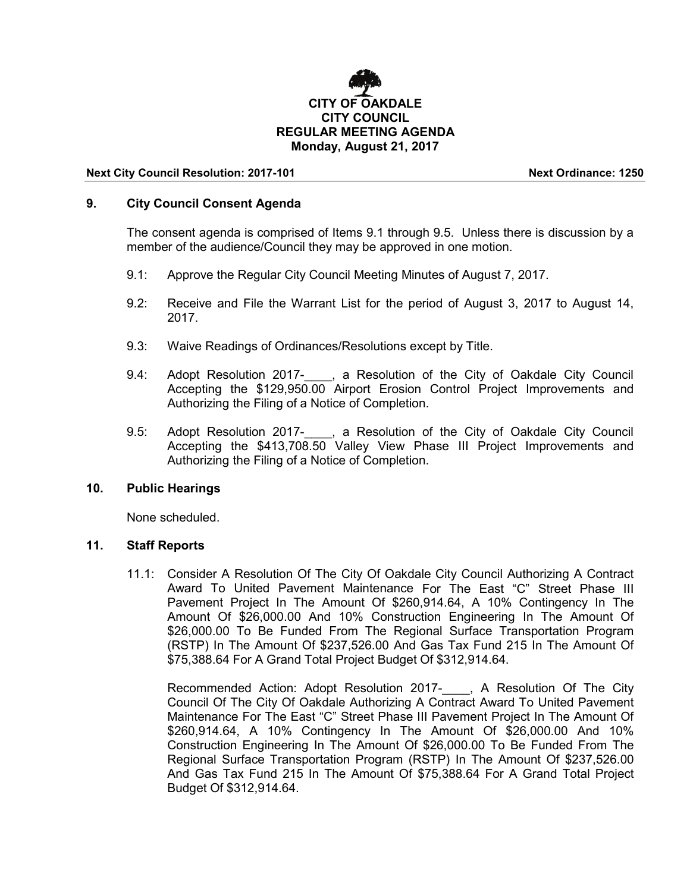

#### **Next City Council Resolution: 2017-101 Next Ordinance: 1250**

## **9. City Council Consent Agenda**

The consent agenda is comprised of Items 9.1 through 9.5. Unless there is discussion by a member of the audience/Council they may be approved in one motion.

- 9.1: Approve the Regular City Council Meeting Minutes of August 7, 2017.
- 9.2: Receive and File the Warrant List for the period of August 3, 2017 to August 14, 2017.
- 9.3: Waive Readings of Ordinances/Resolutions except by Title.
- 9.4: Adopt Resolution 2017-\_\_\_\_, a Resolution of the City of Oakdale City Council Accepting the \$129,950.00 Airport Erosion Control Project Improvements and Authorizing the Filing of a Notice of Completion.
- 9.5: Adopt Resolution 2017- , a Resolution of the City of Oakdale City Council Accepting the \$413,708.50 Valley View Phase III Project Improvements and Authorizing the Filing of a Notice of Completion.

### **10. Public Hearings**

None scheduled.

## **11. Staff Reports**

11.1: Consider A Resolution Of The City Of Oakdale City Council Authorizing A Contract Award To United Pavement Maintenance For The East "C" Street Phase III Pavement Project In The Amount Of \$260,914.64, A 10% Contingency In The Amount Of \$26,000.00 And 10% Construction Engineering In The Amount Of \$26,000.00 To Be Funded From The Regional Surface Transportation Program (RSTP) In The Amount Of \$237,526.00 And Gas Tax Fund 215 In The Amount Of \$75,388.64 For A Grand Total Project Budget Of \$312,914.64.

Recommended Action: Adopt Resolution 2017- , A Resolution Of The City Council Of The City Of Oakdale Authorizing A Contract Award To United Pavement Maintenance For The East "C" Street Phase III Pavement Project In The Amount Of \$260,914.64, A 10% Contingency In The Amount Of \$26,000.00 And 10% Construction Engineering In The Amount Of \$26,000.00 To Be Funded From The Regional Surface Transportation Program (RSTP) In The Amount Of \$237,526.00 And Gas Tax Fund 215 In The Amount Of \$75,388.64 For A Grand Total Project Budget Of \$312,914.64.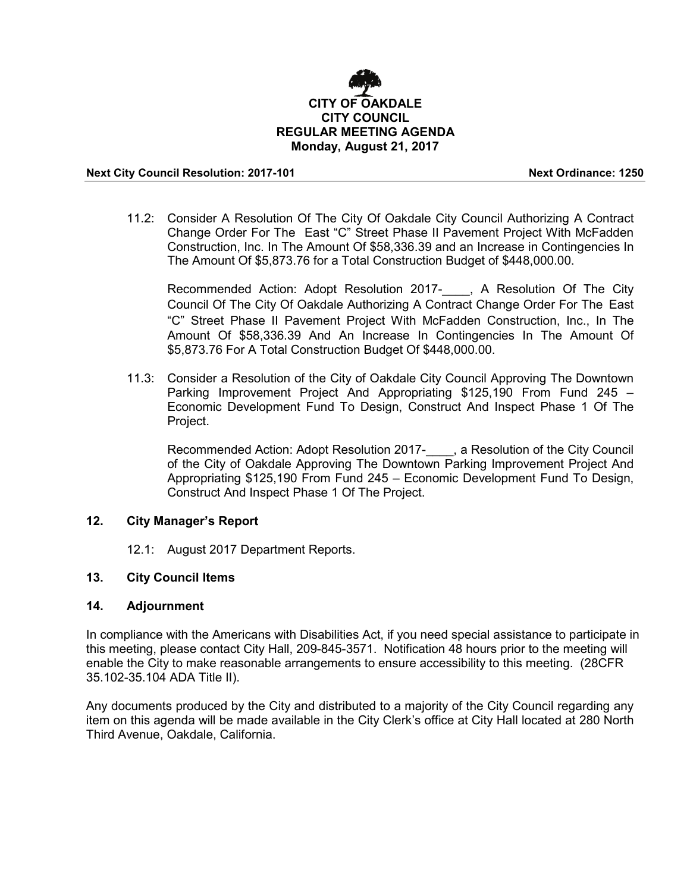

#### **Next City Council Resolution: 2017-101 Next Ordinance: 1250**

11.2: Consider A Resolution Of The City Of Oakdale City Council Authorizing A Contract Change Order For The East "C" Street Phase II Pavement Project With McFadden Construction, Inc. In The Amount Of \$58,336.39 and an Increase in Contingencies In The Amount Of \$5,873.76 for a Total Construction Budget of \$448,000.00.

Recommended Action: Adopt Resolution 2017-\_\_\_\_, A Resolution Of The City Council Of The City Of Oakdale Authorizing A Contract Change Order For The East "C" Street Phase II Pavement Project With McFadden Construction, Inc., In The Amount Of \$58,336.39 And An Increase In Contingencies In The Amount Of \$5,873.76 For A Total Construction Budget Of \$448,000.00.

11.3: Consider a Resolution of the City of Oakdale City Council Approving The Downtown Parking Improvement Project And Appropriating \$125,190 From Fund 245 – Economic Development Fund To Design, Construct And Inspect Phase 1 Of The Project.

Recommended Action: Adopt Resolution 2017-\_\_\_\_, a Resolution of the City Council of the City of Oakdale Approving The Downtown Parking Improvement Project And Appropriating \$125,190 From Fund 245 – Economic Development Fund To Design, Construct And Inspect Phase 1 Of The Project.

# **12. City Manager's Report**

12.1: August 2017 Department Reports.

#### **13. City Council Items**

#### **14. Adjournment**

In compliance with the Americans with Disabilities Act, if you need special assistance to participate in this meeting, please contact City Hall, 209-845-3571. Notification 48 hours prior to the meeting will enable the City to make reasonable arrangements to ensure accessibility to this meeting. (28CFR 35.102-35.104 ADA Title II).

Any documents produced by the City and distributed to a majority of the City Council regarding any item on this agenda will be made available in the City Clerk's office at City Hall located at 280 North Third Avenue, Oakdale, California.